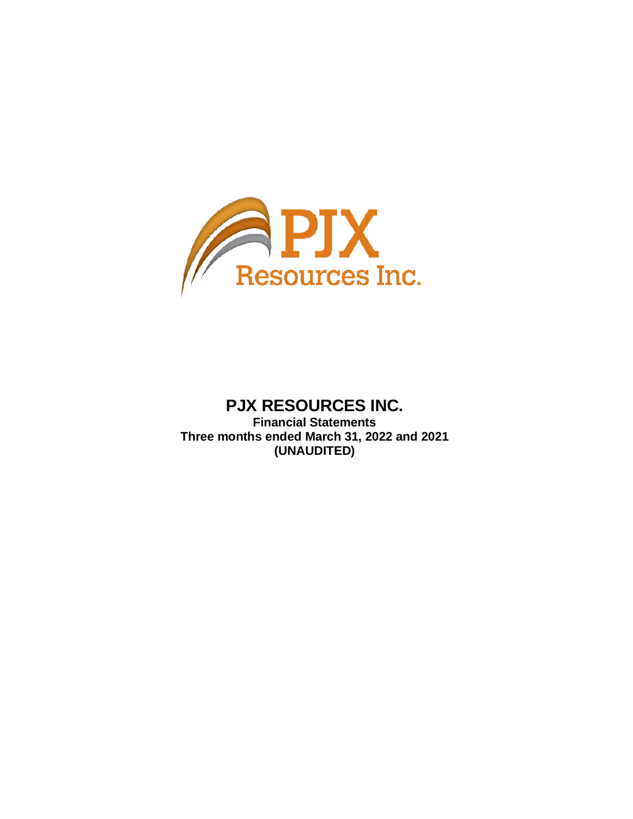

# **PJX RESOURCES INC.**

**Financial Statements Three months ended March 31, 2022 and 2021 (UNAUDITED)**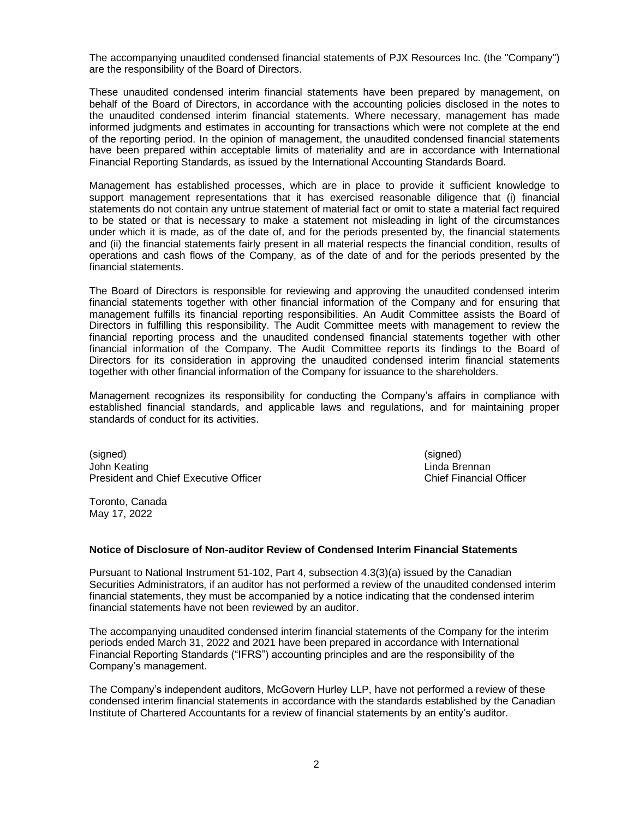The accompanying unaudited condensed financial statements of PJX Resources Inc. (the "Company") are the responsibility of the Board of Directors.

These unaudited condensed interim financial statements have been prepared by management, on behalf of the Board of Directors, in accordance with the accounting policies disclosed in the notes to the unaudited condensed interim financial statements. Where necessary, management has made informed judgments and estimates in accounting for transactions which were not complete at the end of the reporting period. In the opinion of management, the unaudited condensed financial statements have been prepared within acceptable limits of materiality and are in accordance with International Financial Reporting Standards, as issued by the International Accounting Standards Board.

Management has established processes, which are in place to provide it sufficient knowledge to support management representations that it has exercised reasonable diligence that (i) financial statements do not contain any untrue statement of material fact or omit to state a material fact required to be stated or that is necessary to make a statement not misleading in light of the circumstances under which it is made, as of the date of, and for the periods presented by, the financial statements and (ii) the financial statements fairly present in all material respects the financial condition, results of operations and cash flows of the Company, as of the date of and for the periods presented by the financial statements.

The Board of Directors is responsible for reviewing and approving the unaudited condensed interim financial statements together with other financial information of the Company and for ensuring that management fulfills its financial reporting responsibilities. An Audit Committee assists the Board of Directors in fulfilling this responsibility. The Audit Committee meets with management to review the financial reporting process and the unaudited condensed financial statements together with other financial information of the Company. The Audit Committee reports its findings to the Board of Directors for its consideration in approving the unaudited condensed interim financial statements together with other financial information of the Company for issuance to the shareholders.

Management recognizes its responsibility for conducting the Company's affairs in compliance with established financial standards, and applicable laws and regulations, and for maintaining proper standards of conduct for its activities.

(signed) (signed) John Keating Linda Brennan President and Chief Executive Officer Chief Financial Officer

Toronto, Canada May 17, 2022

# **Notice of Disclosure of Non-auditor Review of Condensed Interim Financial Statements**

Pursuant to National Instrument 51-102, Part 4, subsection 4.3(3)(a) issued by the Canadian Securities Administrators, if an auditor has not performed a review of the unaudited condensed interim financial statements, they must be accompanied by a notice indicating that the condensed interim financial statements have not been reviewed by an auditor.

The accompanying unaudited condensed interim financial statements of the Company for the interim periods ended March 31, 2022 and 2021 have been prepared in accordance with International Financial Reporting Standards ("IFRS") accounting principles and are the responsibility of the Company's management.

The Company's independent auditors, McGovern Hurley LLP, have not performed a review of these condensed interim financial statements in accordance with the standards established by the Canadian Institute of Chartered Accountants for a review of financial statements by an entity's auditor.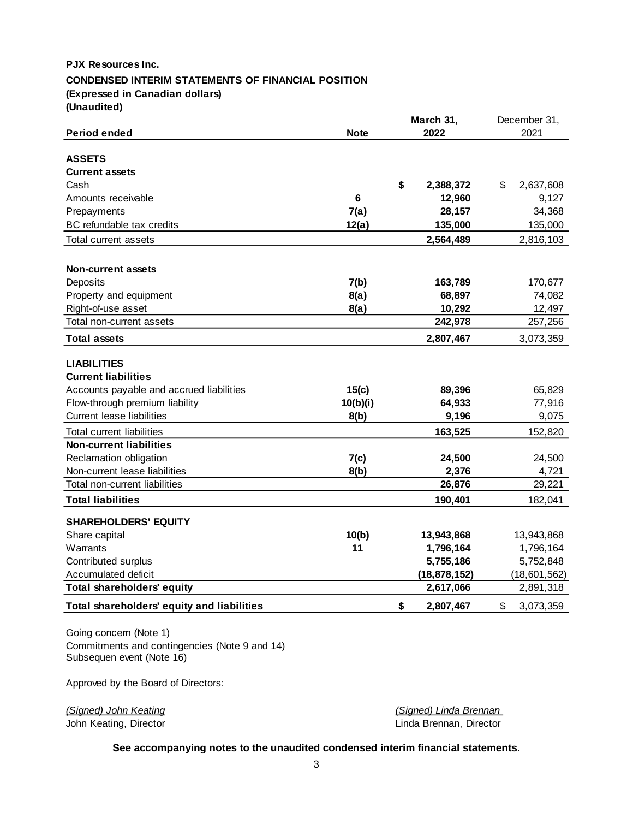# **PJX Resources Inc. CONDENSED INTERIM STATEMENTS OF FINANCIAL POSITION (Expressed in Canadian dollars) (Unaudited)**

|                                            |             | March 31, |                | December 31, |              |
|--------------------------------------------|-------------|-----------|----------------|--------------|--------------|
| <b>Period ended</b>                        | <b>Note</b> |           | 2022           |              | 2021         |
|                                            |             |           |                |              |              |
| <b>ASSETS</b>                              |             |           |                |              |              |
| <b>Current assets</b>                      |             |           |                |              |              |
| Cash                                       |             | \$        | 2,388,372      | \$           | 2,637,608    |
| Amounts receivable                         | 6           |           | 12,960         |              | 9,127        |
| Prepayments                                | 7(a)        |           | 28,157         |              | 34,368       |
| BC refundable tax credits                  | 12(a)       |           | 135,000        |              | 135,000      |
| Total current assets                       |             |           | 2,564,489      |              | 2,816,103    |
|                                            |             |           |                |              |              |
| <b>Non-current assets</b>                  |             |           |                |              |              |
| Deposits                                   | 7(b)        |           | 163,789        |              | 170,677      |
| Property and equipment                     | 8(a)        |           | 68,897         |              | 74,082       |
| Right-of-use asset                         | 8(a)        |           | 10,292         |              | 12,497       |
| Total non-current assets                   |             |           | 242,978        |              | 257,256      |
| <b>Total assets</b>                        |             |           | 2,807,467      |              | 3,073,359    |
| <b>LIABILITIES</b>                         |             |           |                |              |              |
| <b>Current liabilities</b>                 |             |           |                |              |              |
| Accounts payable and accrued liabilities   | 15(c)       |           | 89,396         |              | 65,829       |
| Flow-through premium liability             | 10(b)(i)    |           | 64,933         |              | 77,916       |
| <b>Current lease liabilities</b>           | 8(b)        |           | 9,196          |              | 9,075        |
| <b>Total current liabilities</b>           |             |           | 163,525        |              | 152,820      |
| <b>Non-current liabilities</b>             |             |           |                |              |              |
| Reclamation obligation                     | 7(c)        |           | 24,500         |              | 24,500       |
| Non-current lease liabilities              | 8(b)        |           | 2,376          |              | 4,721        |
| Total non-current liabilities              |             |           | 26,876         |              | 29,221       |
| <b>Total liabilities</b>                   |             |           | 190,401        |              | 182,041      |
| <b>SHAREHOLDERS' EQUITY</b>                |             |           |                |              |              |
| Share capital                              | 10(b)       |           | 13,943,868     |              | 13,943,868   |
| Warrants                                   | 11          |           | 1,796,164      |              | 1,796,164    |
| Contributed surplus                        |             |           | 5,755,186      |              | 5,752,848    |
| Accumulated deficit                        |             |           | (18, 878, 152) |              | (18,601,562) |
| <b>Total shareholders' equity</b>          |             |           | 2,617,066      |              | 2,891,318    |
| Total shareholders' equity and liabilities |             | \$        | 2,807,467      | \$           | 3,073,359    |

Going concern (Note 1) Commitments and contingencies (Note 9 and 14) Subsequen event (Note 16)

Approved by the Board of Directors:

John Keating, Director

*(Signed) John Keating (Signed) Linda Brennan*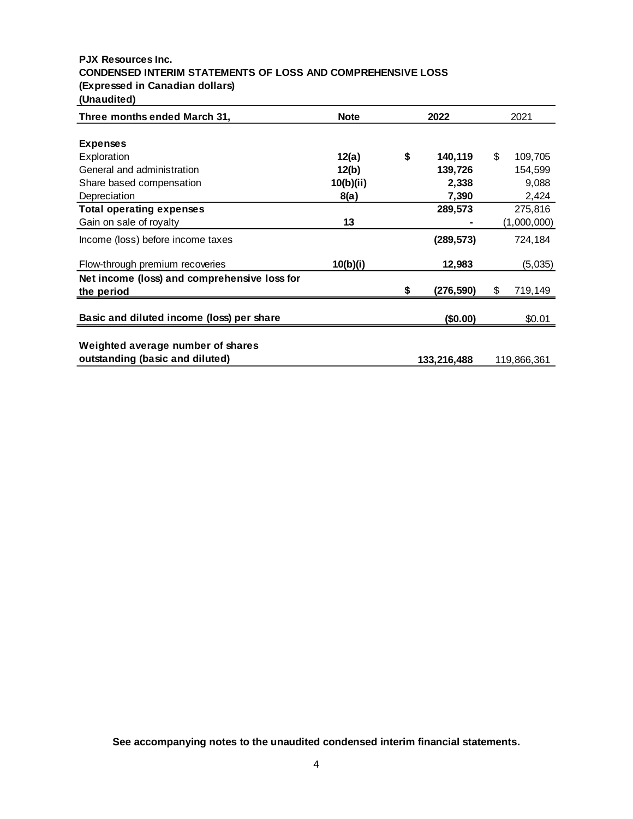# **PJX Resources Inc. CONDENSED INTERIM STATEMENTS OF LOSS AND COMPREHENSIVE LOSS (Expressed in Canadian dollars) (Unaudited)**

| Three months ended March 31,                 | <b>Note</b> |    | 2022        |    |             |  | 2021 |
|----------------------------------------------|-------------|----|-------------|----|-------------|--|------|
|                                              |             |    |             |    |             |  |      |
| <b>Expenses</b>                              |             |    |             |    |             |  |      |
| Exploration                                  | 12(a)       | \$ | 140,119     | \$ | 109,705     |  |      |
| General and administration                   | 12(b)       |    | 139,726     |    | 154.599     |  |      |
| Share based compensation                     | 10(b)(ii)   |    | 2,338       |    | 9,088       |  |      |
| Depreciation                                 | 8(a)        |    | 7,390       |    | 2,424       |  |      |
| <b>Total operating expenses</b>              |             |    | 289,573     |    | 275,816     |  |      |
| Gain on sale of royalty                      | 13          |    |             |    | (1,000,000) |  |      |
| Income (loss) before income taxes            |             |    | (289, 573)  |    | 724,184     |  |      |
| Flow-through premium recoveries              | 10(b)(i)    |    | 12,983      |    | (5,035)     |  |      |
| Net income (loss) and comprehensive loss for |             |    |             |    |             |  |      |
| the period                                   |             |    | (276,590)   | S  | 719,149     |  |      |
| Basic and diluted income (loss) per share    |             |    | (\$0.00)    |    | \$0.01      |  |      |
|                                              |             |    |             |    |             |  |      |
| Weighted average number of shares            |             |    |             |    |             |  |      |
| outstanding (basic and diluted)              |             |    | 133,216,488 |    | 119,866,361 |  |      |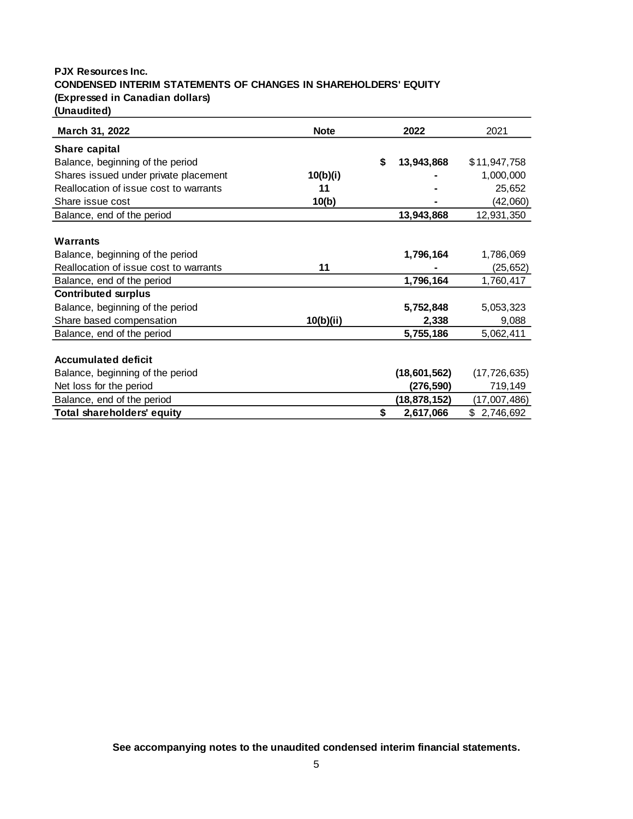# **PJX Resources Inc. CONDENSED INTERIM STATEMENTS OF CHANGES IN SHAREHOLDERS' EQUITY (Expressed in Canadian dollars) (Unaudited)**

**March 31, 2022** 2021 **Share capital** Balance, beginning of the period **\$ 13,943,868** \$11,947,758 Shares issued under private placement **10(b)(i) 10(b)(i) 1** 1,000,000 Reallocation of issue cost to warrants **11 11 11 11 11 11 125,652** Share issue cost **10(b)** - (42,060) Balance, end of the period **13,943,868** 12,931,350 **Warrants** Balance, beginning of the period **1,796,164** 1,786,069 Reallocation of issue cost to warrants **11 11 11 11 11 11 11 125,652** Balance, end of the period **1,796,164** 1,760,417 **Contributed surplus** Balance, beginning of the period **5,752,848** 5,053,323 Share based compensation **10(b)(ii) 2,338** 9,088 Balance, end of the period **5,755,186** 5,062,411 **Accumulated deficit** Balance, beginning of the period **(18,601,562)** (17,726,635) Net loss for the period **(276,590)** 719,149 Balance, end of the period **(18,878,152)** (17,007,486) **Total shareholders' equity \$ 2,617,066** \$ 2,746,692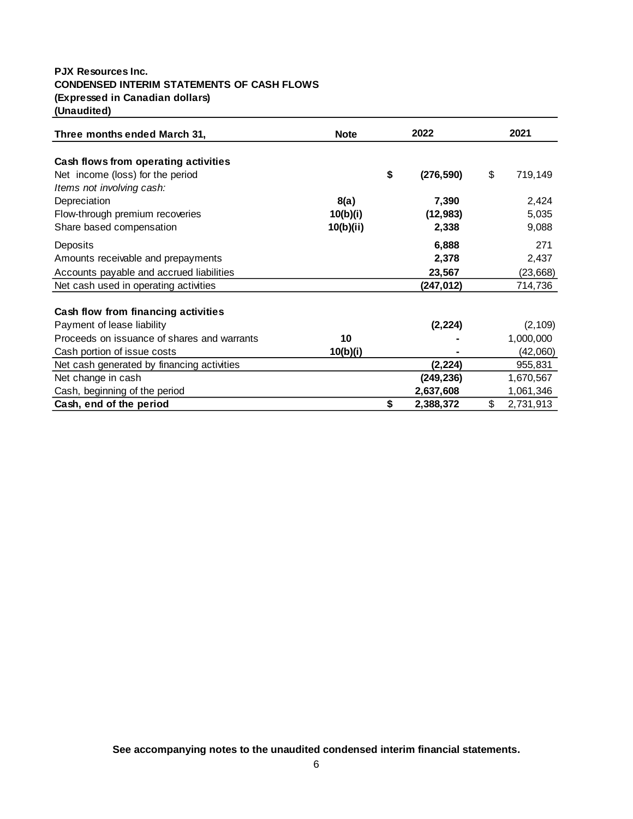# **PJX Resources Inc. CONDENSED INTERIM STATEMENTS OF CASH FLOWS (Expressed in Canadian dollars) (Unaudited)**

| Three months ended March 31,                | <b>Note</b> |    | 2022       |    |           |  | 2021 |
|---------------------------------------------|-------------|----|------------|----|-----------|--|------|
| Cash flows from operating activities        |             |    |            |    |           |  |      |
| Net income (loss) for the period            |             | \$ | (276, 590) | \$ | 719,149   |  |      |
| Items not involving cash:                   |             |    |            |    |           |  |      |
| Depreciation                                | 8(a)        |    | 7,390      |    | 2,424     |  |      |
| Flow-through premium recoveries             | 10(b)(i)    |    | (12, 983)  |    | 5,035     |  |      |
| Share based compensation                    | 10(b)(ii)   |    | 2,338      |    | 9,088     |  |      |
| Deposits                                    |             |    | 6,888      |    | 271       |  |      |
| Amounts receivable and prepayments          |             |    | 2,378      |    | 2,437     |  |      |
| Accounts payable and accrued liabilities    |             |    | 23,567     |    | (23, 668) |  |      |
| Net cash used in operating activities       |             |    | (247,012)  |    | 714,736   |  |      |
| Cash flow from financing activities         |             |    |            |    |           |  |      |
| Payment of lease liability                  |             |    | (2, 224)   |    | (2, 109)  |  |      |
| Proceeds on issuance of shares and warrants | 10          |    |            |    | 1,000,000 |  |      |
| Cash portion of issue costs                 | 10(b)(i)    |    |            |    | (42,060)  |  |      |
| Net cash generated by financing activities  |             |    | (2, 224)   |    | 955,831   |  |      |
| Net change in cash                          |             |    | (249, 236) |    | 1,670,567 |  |      |
| Cash, beginning of the period               |             |    | 2,637,608  |    | 1,061,346 |  |      |
| Cash, end of the period                     |             | \$ | 2,388,372  | \$ | 2,731,913 |  |      |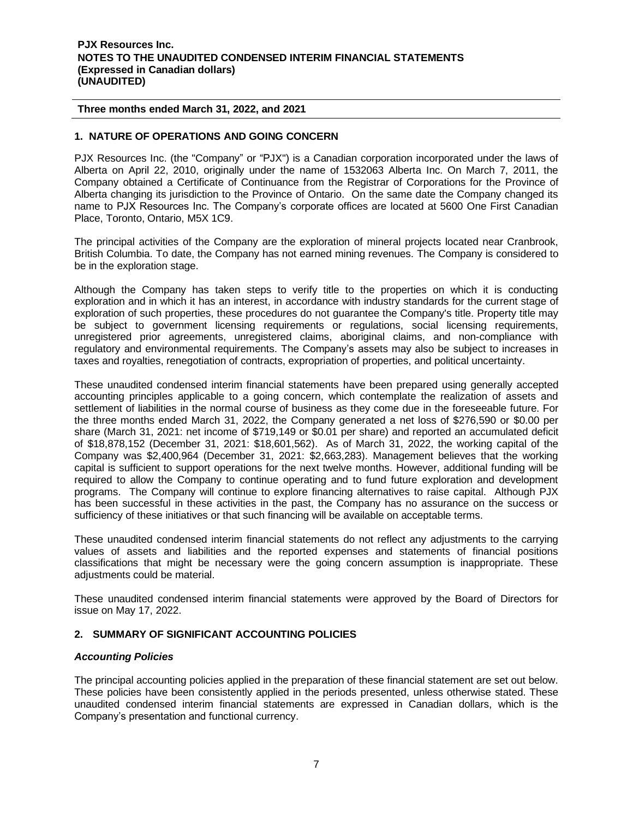# **1. NATURE OF OPERATIONS AND GOING CONCERN**

PJX Resources Inc. (the "Company" or "PJX") is a Canadian corporation incorporated under the laws of Alberta on April 22, 2010, originally under the name of 1532063 Alberta Inc. On March 7, 2011, the Company obtained a Certificate of Continuance from the Registrar of Corporations for the Province of Alberta changing its jurisdiction to the Province of Ontario. On the same date the Company changed its name to PJX Resources Inc. The Company's corporate offices are located at 5600 One First Canadian Place, Toronto, Ontario, M5X 1C9.

The principal activities of the Company are the exploration of mineral projects located near Cranbrook, British Columbia. To date, the Company has not earned mining revenues. The Company is considered to be in the exploration stage.

Although the Company has taken steps to verify title to the properties on which it is conducting exploration and in which it has an interest, in accordance with industry standards for the current stage of exploration of such properties, these procedures do not guarantee the Company's title. Property title may be subject to government licensing requirements or regulations, social licensing requirements, unregistered prior agreements, unregistered claims, aboriginal claims, and non-compliance with regulatory and environmental requirements. The Company's assets may also be subject to increases in taxes and royalties, renegotiation of contracts, expropriation of properties, and political uncertainty.

These unaudited condensed interim financial statements have been prepared using generally accepted accounting principles applicable to a going concern, which contemplate the realization of assets and settlement of liabilities in the normal course of business as they come due in the foreseeable future. For the three months ended March 31, 2022, the Company generated a net loss of \$276,590 or \$0.00 per share (March 31, 2021: net income of \$719,149 or \$0.01 per share) and reported an accumulated deficit of \$18,878,152 (December 31, 2021: \$18,601,562). As of March 31, 2022, the working capital of the Company was \$2,400,964 (December 31, 2021: \$2,663,283). Management believes that the working capital is sufficient to support operations for the next twelve months. However, additional funding will be required to allow the Company to continue operating and to fund future exploration and development programs. The Company will continue to explore financing alternatives to raise capital. Although PJX has been successful in these activities in the past, the Company has no assurance on the success or sufficiency of these initiatives or that such financing will be available on acceptable terms.

These unaudited condensed interim financial statements do not reflect any adjustments to the carrying values of assets and liabilities and the reported expenses and statements of financial positions classifications that might be necessary were the going concern assumption is inappropriate. These adjustments could be material.

These unaudited condensed interim financial statements were approved by the Board of Directors for issue on May 17, 2022.

# **2. SUMMARY OF SIGNIFICANT ACCOUNTING POLICIES**

# *Accounting Policies*

The principal accounting policies applied in the preparation of these financial statement are set out below. These policies have been consistently applied in the periods presented, unless otherwise stated. These unaudited condensed interim financial statements are expressed in Canadian dollars, which is the Company's presentation and functional currency.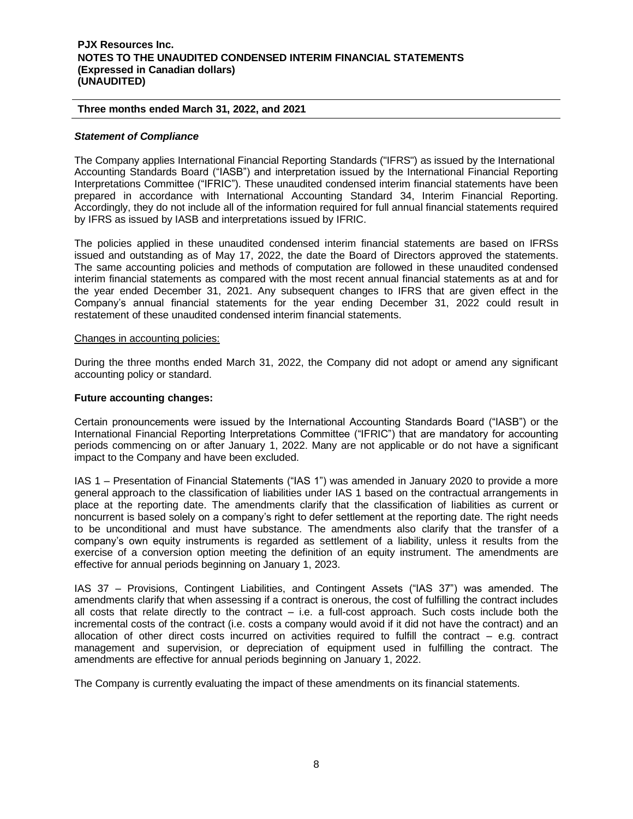### **Three months ended March 31, 2022, and 2021**

#### *Statement of Compliance*

The Company applies International Financial Reporting Standards ("IFRS") as issued by the International Accounting Standards Board ("IASB") and interpretation issued by the International Financial Reporting Interpretations Committee ("IFRIC"). These unaudited condensed interim financial statements have been prepared in accordance with International Accounting Standard 34, Interim Financial Reporting. Accordingly, they do not include all of the information required for full annual financial statements required by IFRS as issued by IASB and interpretations issued by IFRIC.

The policies applied in these unaudited condensed interim financial statements are based on IFRSs issued and outstanding as of May 17, 2022, the date the Board of Directors approved the statements. The same accounting policies and methods of computation are followed in these unaudited condensed interim financial statements as compared with the most recent annual financial statements as at and for the year ended December 31, 2021. Any subsequent changes to IFRS that are given effect in the Company's annual financial statements for the year ending December 31, 2022 could result in restatement of these unaudited condensed interim financial statements.

#### Changes in accounting policies:

During the three months ended March 31, 2022, the Company did not adopt or amend any significant accounting policy or standard.

#### **Future accounting changes:**

Certain pronouncements were issued by the International Accounting Standards Board ("IASB") or the International Financial Reporting Interpretations Committee ("IFRIC") that are mandatory for accounting periods commencing on or after January 1, 2022. Many are not applicable or do not have a significant impact to the Company and have been excluded.

IAS 1 – Presentation of Financial Statements ("IAS 1") was amended in January 2020 to provide a more general approach to the classification of liabilities under IAS 1 based on the contractual arrangements in place at the reporting date. The amendments clarify that the classification of liabilities as current or noncurrent is based solely on a company's right to defer settlement at the reporting date. The right needs to be unconditional and must have substance. The amendments also clarify that the transfer of a company's own equity instruments is regarded as settlement of a liability, unless it results from the exercise of a conversion option meeting the definition of an equity instrument. The amendments are effective for annual periods beginning on January 1, 2023.

IAS 37 – Provisions, Contingent Liabilities, and Contingent Assets ("IAS 37") was amended. The amendments clarify that when assessing if a contract is onerous, the cost of fulfilling the contract includes all costs that relate directly to the contract  $-$  i.e. a full-cost approach. Such costs include both the incremental costs of the contract (i.e. costs a company would avoid if it did not have the contract) and an allocation of other direct costs incurred on activities required to fulfill the contract – e.g. contract management and supervision, or depreciation of equipment used in fulfilling the contract. The amendments are effective for annual periods beginning on January 1, 2022.

The Company is currently evaluating the impact of these amendments on its financial statements.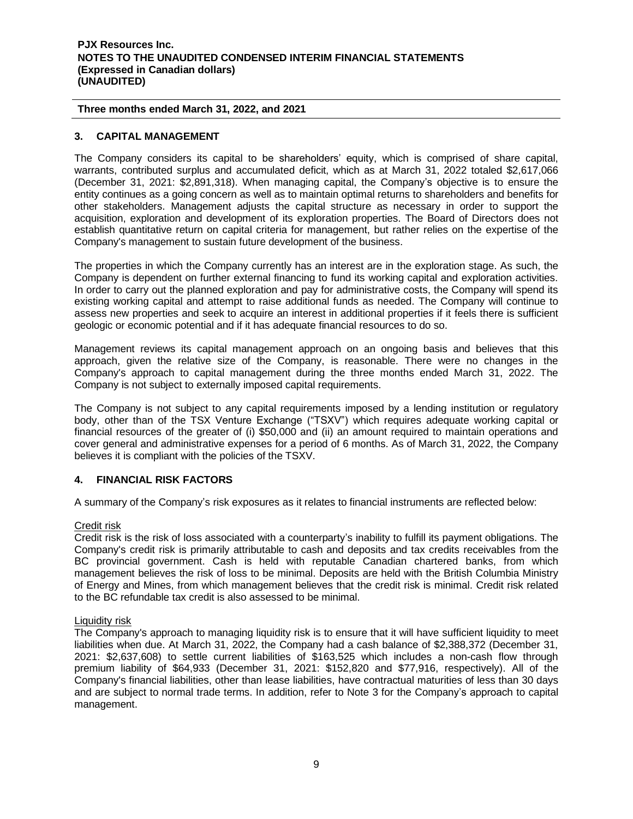**Three months ended March 31, 2022, and 2021**

# **3. CAPITAL MANAGEMENT**

The Company considers its capital to be shareholders' equity, which is comprised of share capital, warrants, contributed surplus and accumulated deficit, which as at March 31, 2022 totaled \$2,617,066 (December 31, 2021: \$2,891,318). When managing capital, the Company's objective is to ensure the entity continues as a going concern as well as to maintain optimal returns to shareholders and benefits for other stakeholders. Management adjusts the capital structure as necessary in order to support the acquisition, exploration and development of its exploration properties. The Board of Directors does not establish quantitative return on capital criteria for management, but rather relies on the expertise of the Company's management to sustain future development of the business.

The properties in which the Company currently has an interest are in the exploration stage. As such, the Company is dependent on further external financing to fund its working capital and exploration activities. In order to carry out the planned exploration and pay for administrative costs, the Company will spend its existing working capital and attempt to raise additional funds as needed. The Company will continue to assess new properties and seek to acquire an interest in additional properties if it feels there is sufficient geologic or economic potential and if it has adequate financial resources to do so.

Management reviews its capital management approach on an ongoing basis and believes that this approach, given the relative size of the Company, is reasonable. There were no changes in the Company's approach to capital management during the three months ended March 31, 2022. The Company is not subject to externally imposed capital requirements.

The Company is not subject to any capital requirements imposed by a lending institution or regulatory body, other than of the TSX Venture Exchange ("TSXV") which requires adequate working capital or financial resources of the greater of (i) \$50,000 and (ii) an amount required to maintain operations and cover general and administrative expenses for a period of 6 months. As of March 31, 2022, the Company believes it is compliant with the policies of the TSXV.

# **4. FINANCIAL RISK FACTORS**

A summary of the Company's risk exposures as it relates to financial instruments are reflected below:

# Credit risk

Credit risk is the risk of loss associated with a counterparty's inability to fulfill its payment obligations. The Company's credit risk is primarily attributable to cash and deposits and tax credits receivables from the BC provincial government. Cash is held with reputable Canadian chartered banks, from which management believes the risk of loss to be minimal. Deposits are held with the British Columbia Ministry of Energy and Mines, from which management believes that the credit risk is minimal. Credit risk related to the BC refundable tax credit is also assessed to be minimal.

# Liquidity risk

The Company's approach to managing liquidity risk is to ensure that it will have sufficient liquidity to meet liabilities when due. At March 31, 2022, the Company had a cash balance of \$2,388,372 (December 31, 2021: \$2,637,608) to settle current liabilities of \$163,525 which includes a non-cash flow through premium liability of \$64,933 (December 31, 2021: \$152,820 and \$77,916, respectively). All of the Company's financial liabilities, other than lease liabilities, have contractual maturities of less than 30 days and are subject to normal trade terms. In addition, refer to Note 3 for the Company's approach to capital management.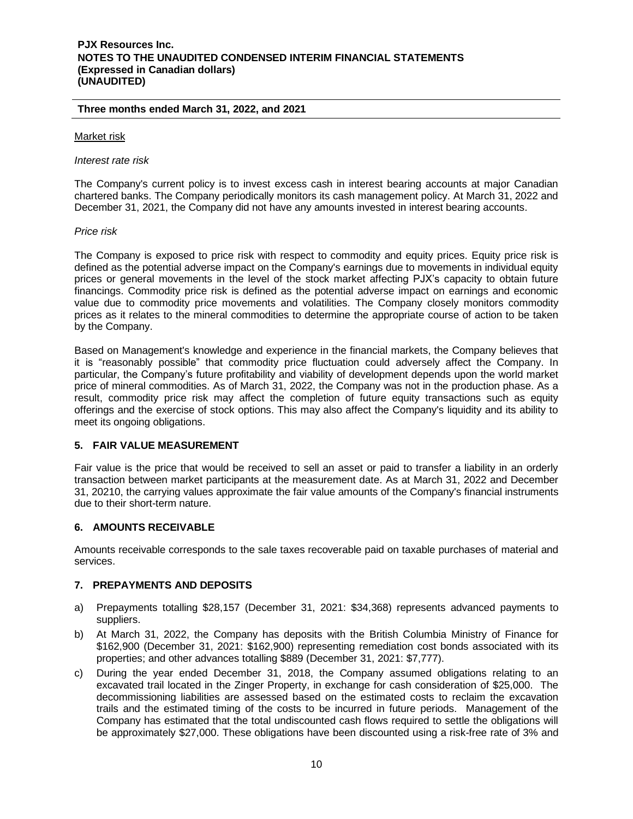#### **Three months ended March 31, 2022, and 2021**

### Market risk

*Interest rate risk*

The Company's current policy is to invest excess cash in interest bearing accounts at major Canadian chartered banks. The Company periodically monitors its cash management policy. At March 31, 2022 and December 31, 2021, the Company did not have any amounts invested in interest bearing accounts.

# *Price risk*

The Company is exposed to price risk with respect to commodity and equity prices. Equity price risk is defined as the potential adverse impact on the Company's earnings due to movements in individual equity prices or general movements in the level of the stock market affecting PJX's capacity to obtain future financings. Commodity price risk is defined as the potential adverse impact on earnings and economic value due to commodity price movements and volatilities. The Company closely monitors commodity prices as it relates to the mineral commodities to determine the appropriate course of action to be taken by the Company.

Based on Management's knowledge and experience in the financial markets, the Company believes that it is "reasonably possible" that commodity price fluctuation could adversely affect the Company. In particular, the Company's future profitability and viability of development depends upon the world market price of mineral commodities. As of March 31, 2022, the Company was not in the production phase. As a result, commodity price risk may affect the completion of future equity transactions such as equity offerings and the exercise of stock options. This may also affect the Company's liquidity and its ability to meet its ongoing obligations.

# **5. FAIR VALUE MEASUREMENT**

Fair value is the price that would be received to sell an asset or paid to transfer a liability in an orderly transaction between market participants at the measurement date. As at March 31, 2022 and December 31, 20210, the carrying values approximate the fair value amounts of the Company's financial instruments due to their short-term nature.

# **6. AMOUNTS RECEIVABLE**

Amounts receivable corresponds to the sale taxes recoverable paid on taxable purchases of material and services.

# **7. PREPAYMENTS AND DEPOSITS**

- a) Prepayments totalling \$28,157 (December 31, 2021: \$34,368) represents advanced payments to suppliers.
- b) At March 31, 2022, the Company has deposits with the British Columbia Ministry of Finance for \$162,900 (December 31, 2021: \$162,900) representing remediation cost bonds associated with its properties; and other advances totalling \$889 (December 31, 2021: \$7,777).
- c) During the year ended December 31, 2018, the Company assumed obligations relating to an excavated trail located in the Zinger Property, in exchange for cash consideration of \$25,000. The decommissioning liabilities are assessed based on the estimated costs to reclaim the excavation trails and the estimated timing of the costs to be incurred in future periods. Management of the Company has estimated that the total undiscounted cash flows required to settle the obligations will be approximately \$27,000. These obligations have been discounted using a risk-free rate of 3% and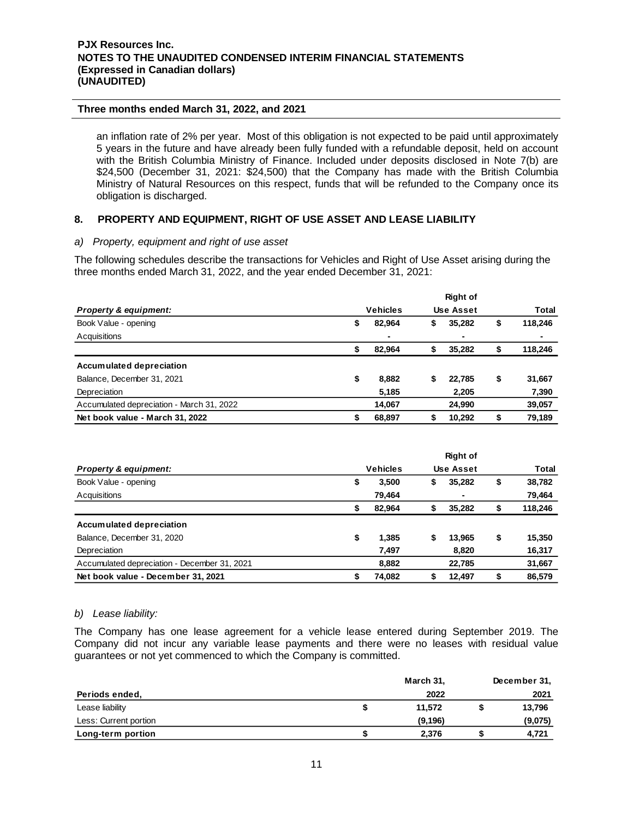an inflation rate of 2% per year. Most of this obligation is not expected to be paid until approximately 5 years in the future and have already been fully funded with a refundable deposit, held on account with the British Columbia Ministry of Finance. Included under deposits disclosed in Note 7(b) are \$24,500 (December 31, 2021: \$24,500) that the Company has made with the British Columbia Ministry of Natural Resources on this respect, funds that will be refunded to the Company once its obligation is discharged.

# **8. PROPERTY AND EQUIPMENT, RIGHT OF USE ASSET AND LEASE LIABILITY**

# *a) Property, equipment and right of use asset*

The following schedules describe the transactions for Vehicles and Right of Use Asset arising during the three months ended March 31, 2022, and the year ended December 31, 2021:

|                                           |    |                 |    | <b>Right of</b>  |               |
|-------------------------------------------|----|-----------------|----|------------------|---------------|
| <b>Property &amp; equipment:</b>          |    | <b>Vehicles</b> |    | <b>Use Asset</b> | <b>Total</b>  |
| Book Value - opening                      | \$ | 82.964          | \$ | 35,282           | \$<br>118,246 |
| Acquisitions                              |    | ٠               |    |                  |               |
|                                           |    | 82.964          |    | 35,282           | 118,246       |
| Accumulated depreciation                  |    |                 |    |                  |               |
| Balance, December 31, 2021                | \$ | 8,882           | S  | 22.785           | \$<br>31,667  |
| Depreciation                              |    | 5,185           |    | 2,205            | 7,390         |
| Accumulated depreciation - March 31, 2022 |    | 14.067          |    | 24,990           | 39,057        |
| Net book value - March 31, 2022           | S  | 68.897          |    | 10.292           | 79.189        |

|                                              |    |                 |    | <b>Right of</b>  |              |
|----------------------------------------------|----|-----------------|----|------------------|--------------|
| <b>Property &amp; equipment:</b>             |    | <b>Vehicles</b> |    | <b>Use Asset</b> | Total        |
| Book Value - opening                         | \$ | 3,500           | S  | 35,282           | \$<br>38,782 |
| Acquisitions                                 |    | 79,464          |    |                  | 79,464       |
|                                              |    | 82,964          |    | 35,282           | 118,246      |
| Accumulated depreciation                     |    |                 |    |                  |              |
| Balance, December 31, 2020                   | \$ | 1,385           | \$ | 13.965           | \$<br>15,350 |
| Depreciation                                 |    | 7,497           |    | 8,820            | 16,317       |
| Accumulated depreciation - December 31, 2021 |    | 8.882           |    | 22,785           | 31,667       |
| Net book value - December 31, 2021           | S  | 74.082          |    | 12.497           | \$<br>86.579 |

#### *b) Lease liability:*

The Company has one lease agreement for a vehicle lease entered during September 2019. The Company did not incur any variable lease payments and there were no leases with residual value guarantees or not yet commenced to which the Company is committed.

|                       | March 31, | December 31, |
|-----------------------|-----------|--------------|
| Periods ended,        | 2022      | 2021         |
| Lease liability       | 11.572    | 13,796       |
| Less: Current portion | (9, 196)  | (9,075)      |
| Long-term portion     | 2.376     | 4,721        |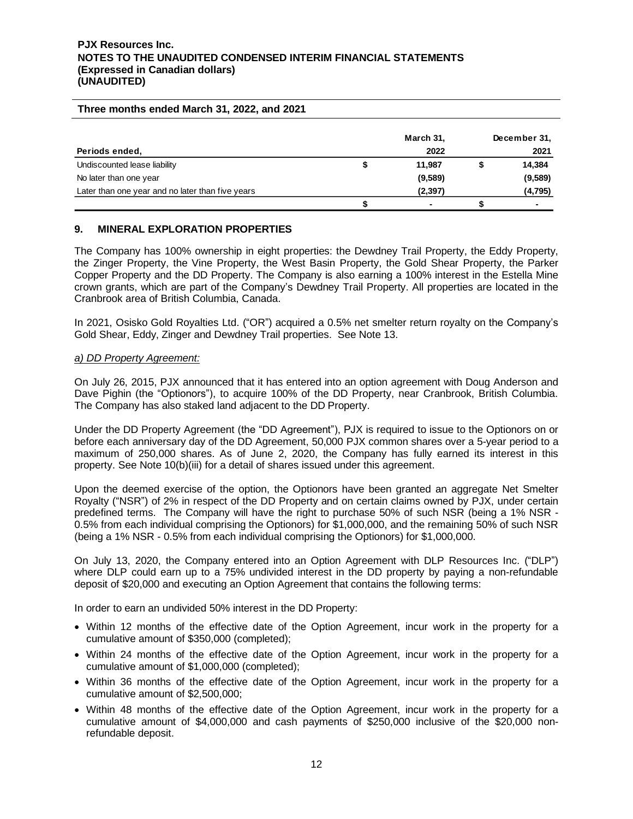#### **Three months ended March 31, 2022, and 2021**

|                                                  | March 31, | December 31, |
|--------------------------------------------------|-----------|--------------|
| Periods ended,                                   | 2022      | 2021         |
| Undiscounted lease liability                     | 11.987    | 14,384       |
| No later than one year                           | (9,589)   | (9,589)      |
| Later than one year and no later than five years | (2, 397)  | (4,795)      |
|                                                  |           |              |

# **9. MINERAL EXPLORATION PROPERTIES**

The Company has 100% ownership in eight properties: the Dewdney Trail Property, the Eddy Property, the Zinger Property, the Vine Property, the West Basin Property, the Gold Shear Property, the Parker Copper Property and the DD Property. The Company is also earning a 100% interest in the Estella Mine crown grants, which are part of the Company's Dewdney Trail Property. All properties are located in the Cranbrook area of British Columbia, Canada.

In 2021, Osisko Gold Royalties Ltd. ("OR") acquired a 0.5% net smelter return royalty on the Company's Gold Shear, Eddy, Zinger and Dewdney Trail properties. See Note 13.

#### *a) DD Property Agreement:*

On July 26, 2015, PJX announced that it has entered into an option agreement with Doug Anderson and Dave Pighin (the "Optionors"), to acquire 100% of the DD Property, near Cranbrook, British Columbia. The Company has also staked land adjacent to the DD Property.

Under the DD Property Agreement (the "DD Agreement"), PJX is required to issue to the Optionors on or before each anniversary day of the DD Agreement, 50,000 PJX common shares over a 5-year period to a maximum of 250,000 shares. As of June 2, 2020, the Company has fully earned its interest in this property. See Note 10(b)(iii) for a detail of shares issued under this agreement.

Upon the deemed exercise of the option, the Optionors have been granted an aggregate Net Smelter Royalty ("NSR") of 2% in respect of the DD Property and on certain claims owned by PJX, under certain predefined terms. The Company will have the right to purchase 50% of such NSR (being a 1% NSR - 0.5% from each individual comprising the Optionors) for \$1,000,000, and the remaining 50% of such NSR (being a 1% NSR - 0.5% from each individual comprising the Optionors) for \$1,000,000.

On July 13, 2020, the Company entered into an Option Agreement with DLP Resources Inc. ("DLP") where DLP could earn up to a 75% undivided interest in the DD property by paying a non-refundable deposit of \$20,000 and executing an Option Agreement that contains the following terms:

In order to earn an undivided 50% interest in the DD Property:

- Within 12 months of the effective date of the Option Agreement, incur work in the property for a cumulative amount of \$350,000 (completed);
- Within 24 months of the effective date of the Option Agreement, incur work in the property for a cumulative amount of \$1,000,000 (completed);
- Within 36 months of the effective date of the Option Agreement, incur work in the property for a cumulative amount of \$2,500,000;
- Within 48 months of the effective date of the Option Agreement, incur work in the property for a cumulative amount of \$4,000,000 and cash payments of \$250,000 inclusive of the \$20,000 nonrefundable deposit.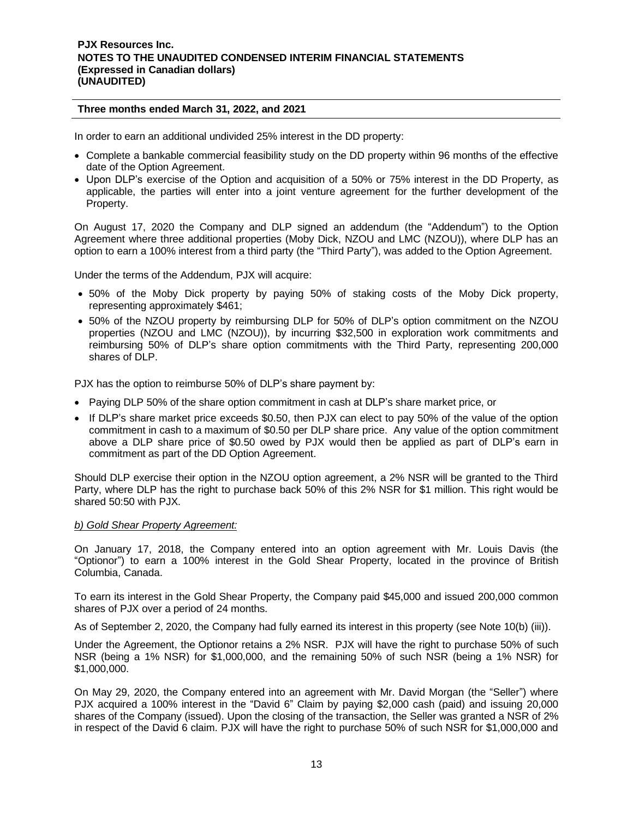In order to earn an additional undivided 25% interest in the DD property:

- Complete a bankable commercial feasibility study on the DD property within 96 months of the effective date of the Option Agreement.
- Upon DLP's exercise of the Option and acquisition of a 50% or 75% interest in the DD Property, as applicable, the parties will enter into a joint venture agreement for the further development of the Property.

On August 17, 2020 the Company and DLP signed an addendum (the "Addendum") to the Option Agreement where three additional properties (Moby Dick, NZOU and LMC (NZOU)), where DLP has an option to earn a 100% interest from a third party (the "Third Party"), was added to the Option Agreement.

Under the terms of the Addendum, PJX will acquire:

- 50% of the Moby Dick property by paying 50% of staking costs of the Moby Dick property, representing approximately \$461;
- 50% of the NZOU property by reimbursing DLP for 50% of DLP's option commitment on the NZOU properties (NZOU and LMC (NZOU)), by incurring \$32,500 in exploration work commitments and reimbursing 50% of DLP's share option commitments with the Third Party, representing 200,000 shares of DLP.

PJX has the option to reimburse 50% of DLP's share payment by:

- Paying DLP 50% of the share option commitment in cash at DLP's share market price, or
- If DLP's share market price exceeds \$0.50, then PJX can elect to pay 50% of the value of the option commitment in cash to a maximum of \$0.50 per DLP share price. Any value of the option commitment above a DLP share price of \$0.50 owed by PJX would then be applied as part of DLP's earn in commitment as part of the DD Option Agreement.

Should DLP exercise their option in the NZOU option agreement, a 2% NSR will be granted to the Third Party, where DLP has the right to purchase back 50% of this 2% NSR for \$1 million. This right would be shared 50:50 with PJX.

#### *b) Gold Shear Property Agreement:*

On January 17, 2018, the Company entered into an option agreement with Mr. Louis Davis (the "Optionor") to earn a 100% interest in the Gold Shear Property, located in the province of British Columbia, Canada.

To earn its interest in the Gold Shear Property, the Company paid \$45,000 and issued 200,000 common shares of PJX over a period of 24 months.

As of September 2, 2020, the Company had fully earned its interest in this property (see Note 10(b) (iii)).

Under the Agreement, the Optionor retains a 2% NSR. PJX will have the right to purchase 50% of such NSR (being a 1% NSR) for \$1,000,000, and the remaining 50% of such NSR (being a 1% NSR) for \$1,000,000.

On May 29, 2020, the Company entered into an agreement with Mr. David Morgan (the "Seller") where PJX acquired a 100% interest in the "David 6" Claim by paying \$2,000 cash (paid) and issuing 20,000 shares of the Company (issued). Upon the closing of the transaction, the Seller was granted a NSR of 2% in respect of the David 6 claim. PJX will have the right to purchase 50% of such NSR for \$1,000,000 and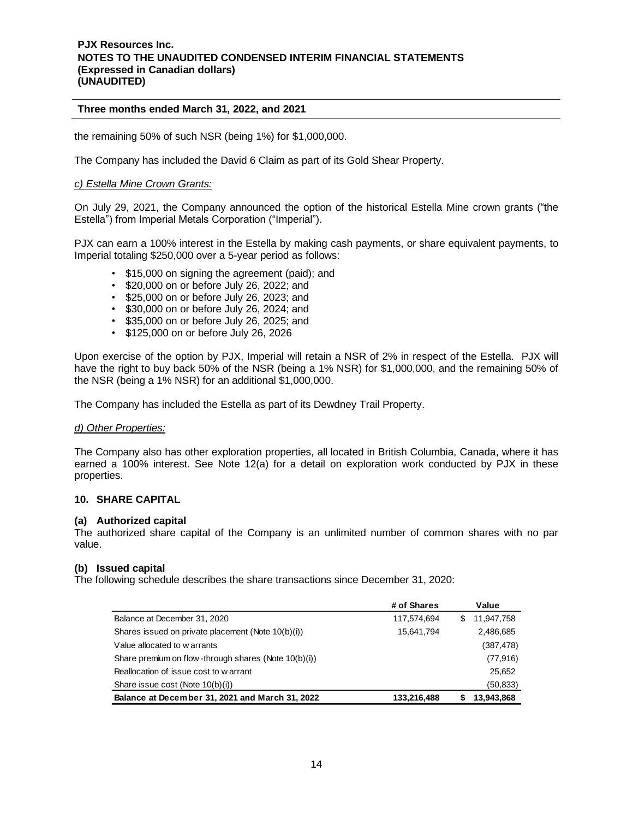the remaining 50% of such NSR (being 1%) for \$1,000,000.

The Company has included the David 6 Claim as part of its Gold Shear Property.

#### *c) Estella Mine Crown Grants:*

On July 29, 2021, the Company announced the option of the historical Estella Mine crown grants ("the Estella") from Imperial Metals Corporation ("Imperial").

PJX can earn a 100% interest in the Estella by making cash payments, or share equivalent payments, to Imperial totaling \$250,000 over a 5-year period as follows:

- \$15,000 on signing the agreement (paid); and
- \$20,000 on or before July 26, 2022; and
- \$25,000 on or before July 26, 2023; and
- \$30,000 on or before July 26, 2024; and
- \$35,000 on or before July 26, 2025; and
- \$125,000 on or before July 26, 2026

Upon exercise of the option by PJX, Imperial will retain a NSR of 2% in respect of the Estella. PJX will have the right to buy back 50% of the NSR (being a 1% NSR) for \$1,000,000, and the remaining 50% of the NSR (being a 1% NSR) for an additional \$1,000,000.

The Company has included the Estella as part of its Dewdney Trail Property.

#### *d) Other Properties:*

The Company also has other exploration properties, all located in British Columbia, Canada, where it has earned a 100% interest. See Note 12(a) for a detail on exploration work conducted by PJX in these properties.

#### **10. SHARE CAPITAL**

#### **(a) Authorized capital**

The authorized share capital of the Company is an unlimited number of common shares with no par value.

#### **(b) Issued capital**

The following schedule describes the share transactions since December 31, 2020:

|                                                      | # of Shares | Value            |
|------------------------------------------------------|-------------|------------------|
| Balance at December 31, 2020                         | 117,574,694 | \$<br>11,947,758 |
| Shares issued on private placement (Note 10(b)(i))   | 15,641,794  | 2,486,685        |
| Value allocated to w arrants                         |             | (387, 478)       |
| Share premium on flow-through shares (Note 10(b)(i)) |             | (77, 916)        |
| Reallocation of issue cost to w arrant               |             | 25,652           |
| Share issue cost (Note 10(b)(i))                     |             | (50,833)         |
| Balance at December 31, 2021 and March 31, 2022      | 133,216,488 | 13,943,868       |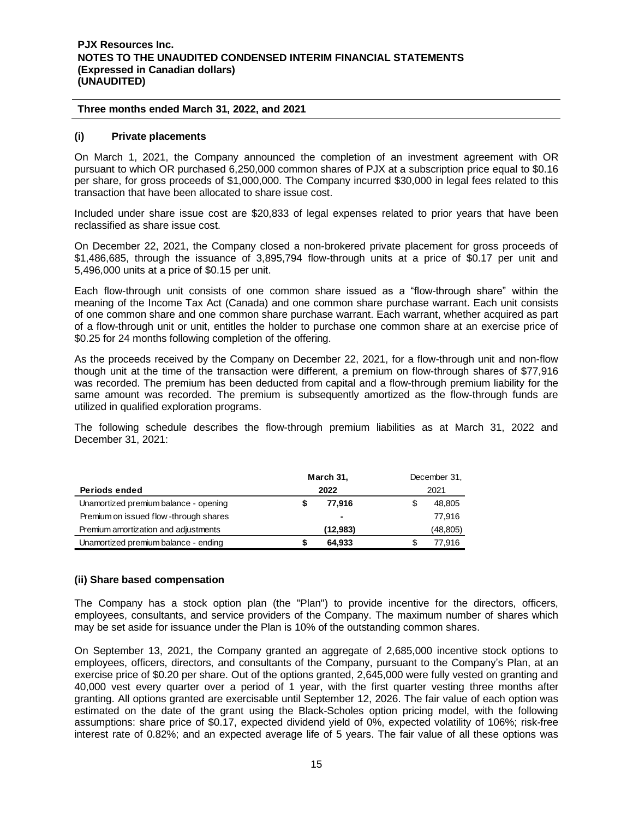### **Three months ended March 31, 2022, and 2021**

### **(i) Private placements**

On March 1, 2021, the Company announced the completion of an investment agreement with OR pursuant to which OR purchased 6,250,000 common shares of PJX at a subscription price equal to \$0.16 per share, for gross proceeds of \$1,000,000. The Company incurred \$30,000 in legal fees related to this transaction that have been allocated to share issue cost.

Included under share issue cost are \$20,833 of legal expenses related to prior years that have been reclassified as share issue cost.

On December 22, 2021, the Company closed a non-brokered private placement for gross proceeds of \$1,486,685, through the issuance of 3,895,794 flow-through units at a price of \$0.17 per unit and 5,496,000 units at a price of \$0.15 per unit.

Each flow-through unit consists of one common share issued as a "flow-through share" within the meaning of the Income Tax Act (Canada) and one common share purchase warrant. Each unit consists of one common share and one common share purchase warrant. Each warrant, whether acquired as part of a flow-through unit or unit, entitles the holder to purchase one common share at an exercise price of \$0.25 for 24 months following completion of the offering.

As the proceeds received by the Company on December 22, 2021, for a flow-through unit and non-flow though unit at the time of the transaction were different, a premium on flow-through shares of \$77,916 was recorded. The premium has been deducted from capital and a flow-through premium liability for the same amount was recorded. The premium is subsequently amortized as the flow-through funds are utilized in qualified exploration programs.

The following schedule describes the flow-through premium liabilities as at March 31, 2022 and December 31, 2021:

|                                       | March 31, |  | December 31, |
|---------------------------------------|-----------|--|--------------|
| Periods ended                         | 2022      |  | 2021         |
| Unamortized premium balance - opening | 77.916    |  | 48,805       |
| Premium on issued flow-through shares |           |  | 77.916       |
| Premium amortization and adjustments  | (12,983)  |  | (48,805)     |
| Unamortized premium balance - ending  | 64.933    |  | 77.916       |

# **(ii) Share based compensation**

The Company has a stock option plan (the "Plan") to provide incentive for the directors, officers, employees, consultants, and service providers of the Company. The maximum number of shares which may be set aside for issuance under the Plan is 10% of the outstanding common shares.

On September 13, 2021, the Company granted an aggregate of 2,685,000 incentive stock options to employees, officers, directors, and consultants of the Company, pursuant to the Company's Plan, at an exercise price of \$0.20 per share. Out of the options granted, 2,645,000 were fully vested on granting and 40,000 vest every quarter over a period of 1 year, with the first quarter vesting three months after granting. All options granted are exercisable until September 12, 2026. The fair value of each option was estimated on the date of the grant using the Black-Scholes option pricing model, with the following assumptions: share price of \$0.17, expected dividend yield of 0%, expected volatility of 106%; risk-free interest rate of 0.82%; and an expected average life of 5 years. The fair value of all these options was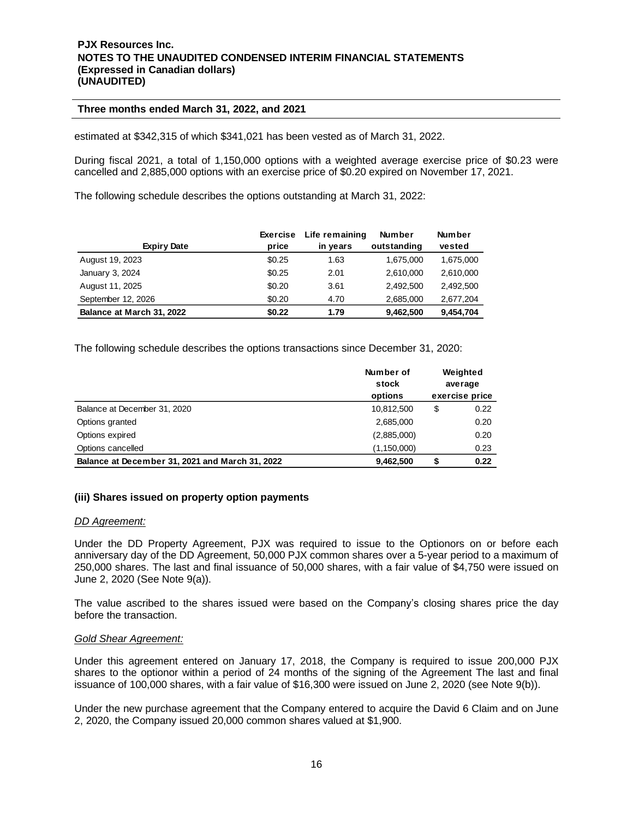estimated at \$342,315 of which \$341,021 has been vested as of March 31, 2022.

During fiscal 2021, a total of 1,150,000 options with a weighted average exercise price of \$0.23 were cancelled and 2,885,000 options with an exercise price of \$0.20 expired on November 17, 2021.

The following schedule describes the options outstanding at March 31, 2022:

|                           | <b>Exercise</b> | Life remaining | <b>Number</b> | <b>Number</b> |
|---------------------------|-----------------|----------------|---------------|---------------|
| <b>Expiry Date</b>        | price           | in years       | outstanding   | vested        |
| August 19, 2023           | \$0.25          | 1.63           | 1,675,000     | 1,675,000     |
| January 3, 2024           | \$0.25          | 2.01           | 2.610.000     | 2.610.000     |
| August 11, 2025           | \$0.20          | 3.61           | 2.492.500     | 2.492.500     |
| September 12, 2026        | \$0.20          | 4.70           | 2,685,000     | 2,677,204     |
| Balance at March 31, 2022 | \$0.22          | 1.79           | 9,462,500     | 9,454,704     |

The following schedule describes the options transactions since December 31, 2020:

|                                                 | Number of<br>stock<br>options |    | Weighted<br>average<br>exercise price |
|-------------------------------------------------|-------------------------------|----|---------------------------------------|
| Balance at December 31, 2020                    | 10,812,500                    | \$ | 0.22                                  |
| Options granted                                 | 2,685,000                     |    | 0.20                                  |
| Options expired                                 | (2,885,000)                   |    | 0.20                                  |
| Options cancelled                               | (1,150,000)                   |    | 0.23                                  |
| Balance at December 31, 2021 and March 31, 2022 | 9.462.500                     | S  | 0.22                                  |

# **(iii) Shares issued on property option payments**

#### *DD Agreement:*

Under the DD Property Agreement, PJX was required to issue to the Optionors on or before each anniversary day of the DD Agreement, 50,000 PJX common shares over a 5-year period to a maximum of 250,000 shares. The last and final issuance of 50,000 shares, with a fair value of \$4,750 were issued on June 2, 2020 (See Note 9(a)).

The value ascribed to the shares issued were based on the Company's closing shares price the day before the transaction.

#### *Gold Shear Agreement:*

Under this agreement entered on January 17, 2018, the Company is required to issue 200,000 PJX shares to the optionor within a period of 24 months of the signing of the Agreement The last and final issuance of 100,000 shares, with a fair value of \$16,300 were issued on June 2, 2020 (see Note 9(b)).

Under the new purchase agreement that the Company entered to acquire the David 6 Claim and on June 2, 2020, the Company issued 20,000 common shares valued at \$1,900.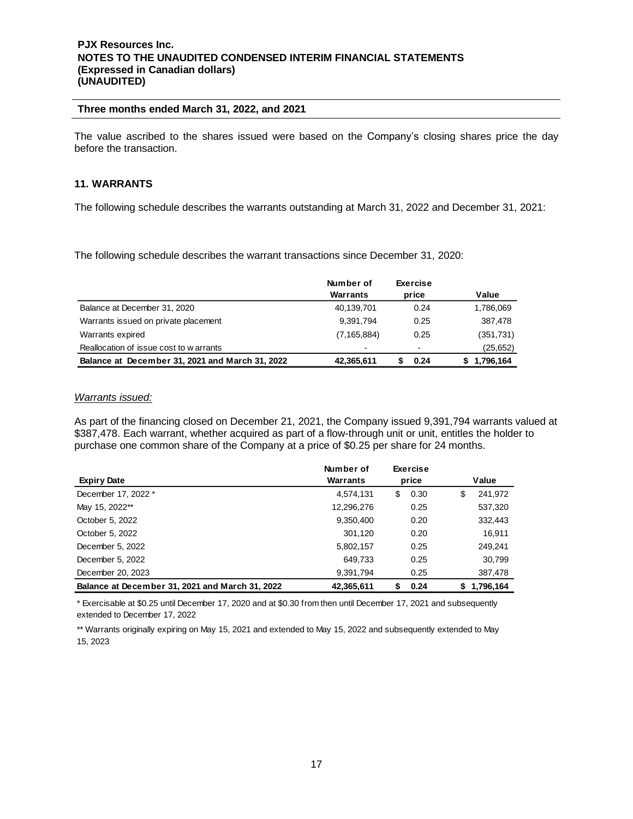# **Three months ended March 31, 2022, and 2021**

The value ascribed to the shares issued were based on the Company's closing shares price the day before the transaction.

# **11. WARRANTS**

The following schedule describes the warrants outstanding at March 31, 2022 and December 31, 2021:

The following schedule describes the warrant transactions since December 31, 2020:

|                                                 | Number of     | <b>Exercise</b> |                  |
|-------------------------------------------------|---------------|-----------------|------------------|
|                                                 | Warrants      | price           | Value            |
| Balance at December 31, 2020                    | 40,139,701    | 0.24            | 1,786,069        |
| Warrants issued on private placement            | 9,391,794     | 0.25            | 387,478          |
| Warrants expired                                | (7, 165, 884) | 0.25            | (351, 731)       |
| Reallocation of issue cost to warrants          |               |                 | (25, 652)        |
| Balance at December 31, 2021 and March 31, 2022 | 42,365,611    | 0.24            | 1,796,164<br>эh. |

# *Warrants issued:*

As part of the financing closed on December 21, 2021, the Company issued 9,391,794 warrants valued at \$387,478. Each warrant, whether acquired as part of a flow-through unit or unit, entitles the holder to purchase one common share of the Company at a price of \$0.25 per share for 24 months.

|                                                 | Number of  |    | <b>Exercise</b> |    |           |
|-------------------------------------------------|------------|----|-----------------|----|-----------|
| <b>Expiry Date</b>                              | Warrants   |    | price           |    | Value     |
| December 17, 2022 *                             | 4,574,131  | \$ | 0.30            | \$ | 241,972   |
| May 15, 2022**                                  | 12,296,276 |    | 0.25            |    | 537,320   |
| October 5, 2022                                 | 9,350,400  |    | 0.20            |    | 332,443   |
| October 5, 2022                                 | 301,120    |    | 0.20            |    | 16,911    |
| December 5, 2022                                | 5,802,157  |    | 0.25            |    | 249,241   |
| December 5, 2022                                | 649,733    |    | 0.25            |    | 30,799    |
| December 20, 2023                               | 9,391,794  |    | 0.25            |    | 387,478   |
| Balance at December 31, 2021 and March 31, 2022 | 42,365,611 | S  | 0.24            | S. | 1,796,164 |

\* Exercisable at \$0.25 until December 17, 2020 and at \$0.30 from then until December 17, 2021 and subsequently extended to December 17, 2022

\*\* Warrants originally expiring on May 15, 2021 and extended to May 15, 2022 and subsequently extended to May 15, 2023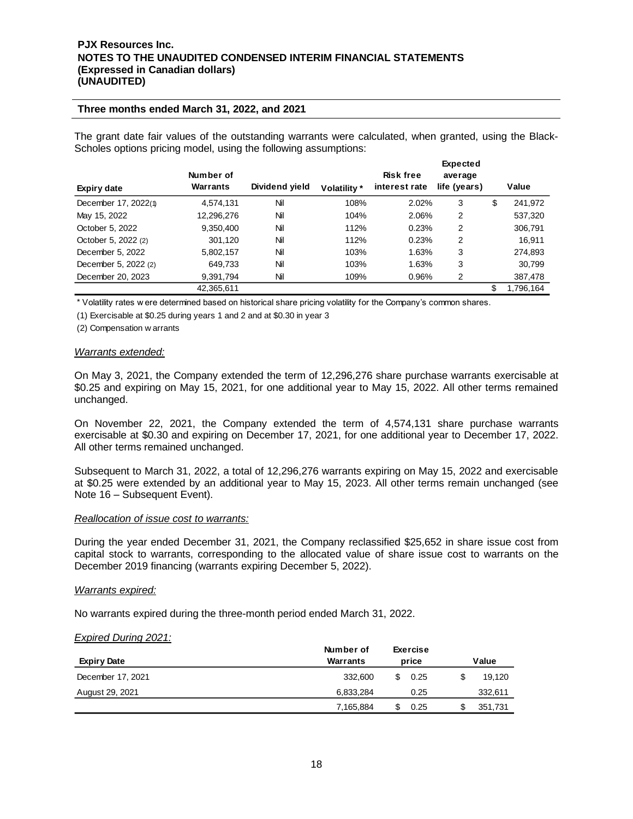#### **Three months ended March 31, 2022, and 2021**

The grant date fair values of the outstanding warrants were calculated, when granted, using the Black-Scholes options pricing model, using the following assumptions:

|                      |                       |                |              |                                   | <b>Expected</b>         |                 |
|----------------------|-----------------------|----------------|--------------|-----------------------------------|-------------------------|-----------------|
| Expiry date          | Number of<br>Warrants | Dividend yield | Volatility * | <b>Risk free</b><br>interest rate | average<br>life (years) | Value           |
| December 17, 2022(1) | 4,574,131             | Nil            | 108%         | 2.02%                             | 3                       | \$<br>241,972   |
| May 15, 2022         | 12,296,276            | Nil            | 104%         | 2.06%                             | 2                       | 537,320         |
| October 5, 2022      | 9,350,400             | Nil            | 112%         | 0.23%                             | 2                       | 306,791         |
| October 5, 2022 (2)  | 301.120               | Nil            | 112%         | 0.23%                             | 2                       | 16.911          |
| December 5, 2022     | 5,802,157             | Nil            | 103%         | 1.63%                             | 3                       | 274,893         |
| December 5, 2022 (2) | 649,733               | Nil            | 103%         | 1.63%                             | 3                       | 30,799          |
| December 20, 2023    | 9,391,794             | Nil            | 109%         | 0.96%                             | 2                       | 387,478         |
|                      | 42,365,611            |                |              |                                   |                         | \$<br>1,796,164 |

\* Volatility rates w ere determined based on historical share pricing volatility for the Company's common shares.

(1) Exercisable at \$0.25 during years 1 and 2 and at \$0.30 in year 3

(2) Compensation w arrants

#### *Warrants extended:*

On May 3, 2021, the Company extended the term of 12,296,276 share purchase warrants exercisable at \$0.25 and expiring on May 15, 2021, for one additional year to May 15, 2022. All other terms remained unchanged.

On November 22, 2021, the Company extended the term of 4,574,131 share purchase warrants exercisable at \$0.30 and expiring on December 17, 2021, for one additional year to December 17, 2022. All other terms remained unchanged.

Subsequent to March 31, 2022, a total of 12,296,276 warrants expiring on May 15, 2022 and exercisable at \$0.25 were extended by an additional year to May 15, 2023. All other terms remain unchanged (see Note 16 – Subsequent Event).

#### *Reallocation of issue cost to warrants:*

During the year ended December 31, 2021, the Company reclassified \$25,652 in share issue cost from capital stock to warrants, corresponding to the allocated value of share issue cost to warrants on the December 2019 financing (warrants expiring December 5, 2022).

#### *Warrants expired:*

No warrants expired during the three-month period ended March 31, 2022.

#### *Expired During 2021:*

|                    | Number of |       | <b>Exercise</b> |   |         |  |  |  |       |
|--------------------|-----------|-------|-----------------|---|---------|--|--|--|-------|
| <b>Expiry Date</b> | Warrants  | price |                 |   |         |  |  |  | Value |
| December 17, 2021  | 332,600   | £.    | 0.25            | S | 19.120  |  |  |  |       |
| August 29, 2021    | 6,833,284 |       | 0.25            |   | 332,611 |  |  |  |       |
|                    | 7,165,884 |       | 0.25            |   | 351.731 |  |  |  |       |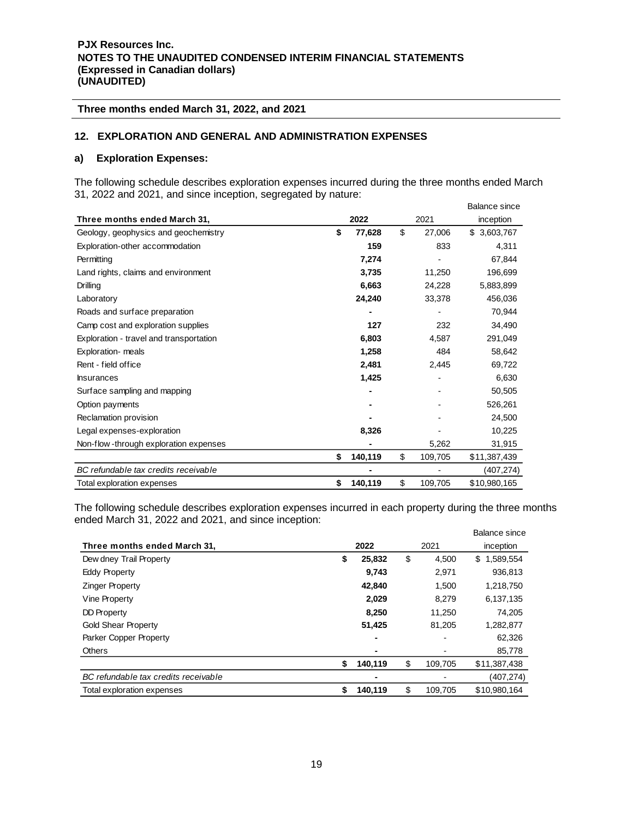# **12. EXPLORATION AND GENERAL AND ADMINISTRATION EXPENSES**

#### **a) Exploration Expenses:**

The following schedule describes exploration expenses incurred during the three months ended March 31, 2022 and 2021, and since inception, segregated by nature:

|                                         |               |               | <b>Balance since</b> |
|-----------------------------------------|---------------|---------------|----------------------|
| Three months ended March 31,            | 2022          | 2021          | inception            |
| Geology, geophysics and geochemistry    | \$<br>77,628  | \$<br>27,006  | \$3,603,767          |
| Exploration-other accommodation         | 159           | 833           | 4,311                |
| Permitting                              | 7,274         |               | 67,844               |
| Land rights, claims and environment     | 3,735         | 11,250        | 196,699              |
| Drilling                                | 6,663         | 24,228        | 5,883,899            |
| Laboratory                              | 24,240        | 33,378        | 456,036              |
| Roads and surface preparation           |               |               | 70,944               |
| Camp cost and exploration supplies      | 127           | 232           | 34,490               |
| Exploration - travel and transportation | 6,803         | 4,587         | 291,049              |
| Exploration- meals                      | 1,258         | 484           | 58,642               |
| Rent - field office                     | 2,481         | 2,445         | 69,722               |
| <b>Insurances</b>                       | 1,425         |               | 6,630                |
| Surface sampling and mapping            |               |               | 50,505               |
| Option payments                         |               |               | 526,261              |
| Reclamation provision                   |               |               | 24,500               |
| Legal expenses-exploration              | 8,326         |               | 10,225               |
| Non-flow-through exploration expenses   |               | 5,262         | 31,915               |
|                                         | \$<br>140,119 | \$<br>109,705 | \$11,387,439         |
| BC refundable tax credits receivable    |               |               | (407,274)            |
| Total exploration expenses              | \$<br>140,119 | \$<br>109,705 | \$10,980,165         |

The following schedule describes exploration expenses incurred in each property during the three months ended March 31, 2022 and 2021, and since inception:

| $n$ and $n$ in $n$ is the $n$ and $n$ and $n$ and $n$ in $n$ is in $n$ in $n$ in $n$ in $n$ in $n$ |               |      |         | Balance since   |
|----------------------------------------------------------------------------------------------------|---------------|------|---------|-----------------|
| Three months ended March 31,                                                                       | 2022          | 2021 |         | inception       |
| Dew dney Trail Property                                                                            | \$<br>25,832  | \$   | 4.500   | 1,589,554<br>\$ |
| <b>Eddy Property</b>                                                                               | 9,743         |      | 2,971   | 936,813         |
| <b>Zinger Property</b>                                                                             | 42,840        |      | 1,500   | 1,218,750       |
| Vine Property                                                                                      | 2,029         |      | 8,279   | 6,137,135       |
| DD Property                                                                                        | 8,250         |      | 11,250  | 74,205          |
| <b>Gold Shear Property</b>                                                                         | 51,425        |      | 81,205  | 1,282,877       |
| Parker Copper Property                                                                             | ٠             |      |         | 62,326          |
| <b>Others</b>                                                                                      | ٠             |      |         | 85,778          |
|                                                                                                    | \$<br>140,119 | \$   | 109,705 | \$11,387,438    |
| BC refundable tax credits receivable                                                               |               |      |         | (407, 274)      |
| Total exploration expenses                                                                         | \$<br>140,119 | \$   | 109.705 | \$10,980,164    |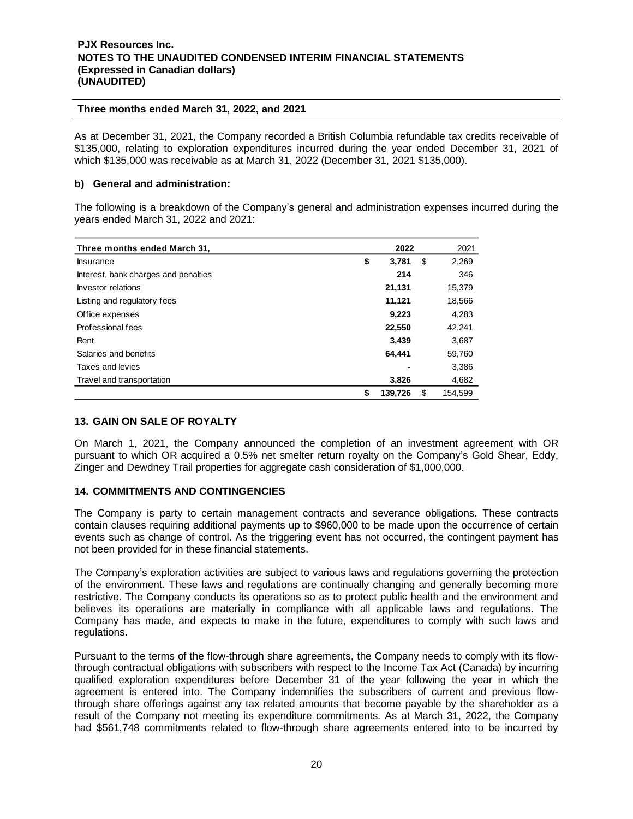As at December 31, 2021, the Company recorded a British Columbia refundable tax credits receivable of \$135,000, relating to exploration expenditures incurred during the year ended December 31, 2021 of which \$135,000 was receivable as at March 31, 2022 (December 31, 2021 \$135,000).

# **b) General and administration:**

The following is a breakdown of the Company's general and administration expenses incurred during the years ended March 31, 2022 and 2021:

| Three months ended March 31,         |    | 2022    |    | 2021    |
|--------------------------------------|----|---------|----|---------|
| <b>Insurance</b>                     | \$ | 3,781   | \$ | 2,269   |
| Interest, bank charges and penalties |    | 214     |    | 346     |
| Investor relations                   |    | 21,131  |    | 15,379  |
| Listing and regulatory fees          |    | 11,121  |    | 18,566  |
| Office expenses                      |    | 9,223   |    | 4,283   |
| Professional fees                    |    | 22,550  |    | 42,241  |
| Rent                                 |    | 3,439   |    | 3,687   |
| Salaries and benefits                |    | 64.441  |    | 59,760  |
| Taxes and levies                     |    |         |    | 3,386   |
| Travel and transportation            |    | 3,826   |    | 4,682   |
|                                      | S  | 139,726 | \$ | 154.599 |

# **13. GAIN ON SALE OF ROYALTY**

On March 1, 2021, the Company announced the completion of an investment agreement with OR pursuant to which OR acquired a 0.5% net smelter return royalty on the Company's Gold Shear, Eddy, Zinger and Dewdney Trail properties for aggregate cash consideration of \$1,000,000.

# **14. COMMITMENTS AND CONTINGENCIES**

The Company is party to certain management contracts and severance obligations. These contracts contain clauses requiring additional payments up to \$960,000 to be made upon the occurrence of certain events such as change of control. As the triggering event has not occurred, the contingent payment has not been provided for in these financial statements.

The Company's exploration activities are subject to various laws and regulations governing the protection of the environment. These laws and regulations are continually changing and generally becoming more restrictive. The Company conducts its operations so as to protect public health and the environment and believes its operations are materially in compliance with all applicable laws and regulations. The Company has made, and expects to make in the future, expenditures to comply with such laws and regulations.

Pursuant to the terms of the flow-through share agreements, the Company needs to comply with its flowthrough contractual obligations with subscribers with respect to the Income Tax Act (Canada) by incurring qualified exploration expenditures before December 31 of the year following the year in which the agreement is entered into. The Company indemnifies the subscribers of current and previous flowthrough share offerings against any tax related amounts that become payable by the shareholder as a result of the Company not meeting its expenditure commitments. As at March 31, 2022, the Company had \$561,748 commitments related to flow-through share agreements entered into to be incurred by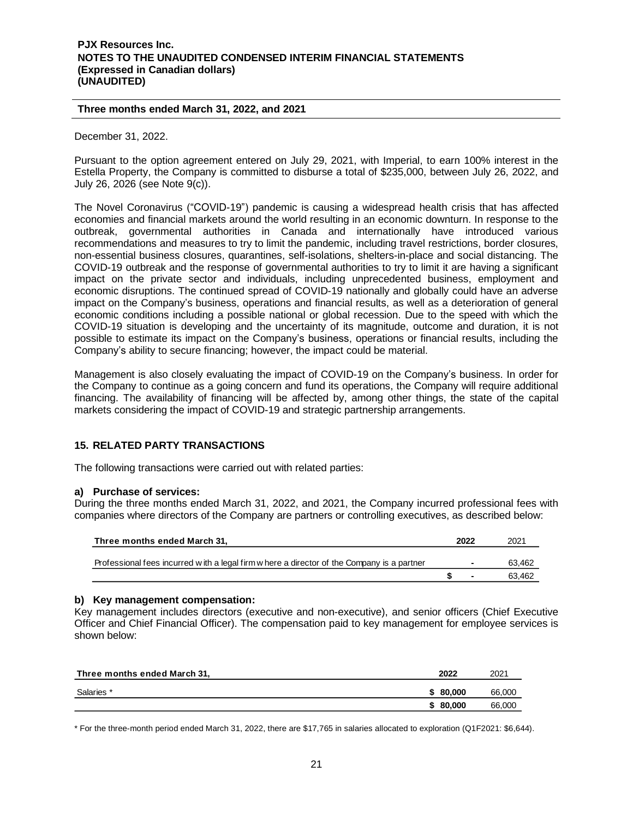December 31, 2022.

Pursuant to the option agreement entered on July 29, 2021, with Imperial, to earn 100% interest in the Estella Property, the Company is committed to disburse a total of \$235,000, between July 26, 2022, and July 26, 2026 (see Note 9(c)).

The Novel Coronavirus ("COVID-19") pandemic is causing a widespread health crisis that has affected economies and financial markets around the world resulting in an economic downturn. In response to the outbreak, governmental authorities in Canada and internationally have introduced various recommendations and measures to try to limit the pandemic, including travel restrictions, border closures, non-essential business closures, quarantines, self-isolations, shelters-in-place and social distancing. The COVID-19 outbreak and the response of governmental authorities to try to limit it are having a significant impact on the private sector and individuals, including unprecedented business, employment and economic disruptions. The continued spread of COVID-19 nationally and globally could have an adverse impact on the Company's business, operations and financial results, as well as a deterioration of general economic conditions including a possible national or global recession. Due to the speed with which the COVID-19 situation is developing and the uncertainty of its magnitude, outcome and duration, it is not possible to estimate its impact on the Company's business, operations or financial results, including the Company's ability to secure financing; however, the impact could be material.

Management is also closely evaluating the impact of COVID-19 on the Company's business. In order for the Company to continue as a going concern and fund its operations, the Company will require additional financing. The availability of financing will be affected by, among other things, the state of the capital markets considering the impact of COVID-19 and strategic partnership arrangements.

# **15. RELATED PARTY TRANSACTIONS**

The following transactions were carried out with related parties:

# **a) Purchase of services:**

During the three months ended March 31, 2022, and 2021, the Company incurred professional fees with companies where directors of the Company are partners or controlling executives, as described below:

| Three months ended March 31.                                                               | 2022                     | 2021   |
|--------------------------------------------------------------------------------------------|--------------------------|--------|
| Professional fees incurred with a legal firm w here a director of the Company is a partner | $\overline{\phantom{a}}$ | 63.462 |
|                                                                                            |                          | 63.462 |

# **b) Key management compensation:**

Key management includes directors (executive and non-executive), and senior officers (Chief Executive Officer and Chief Financial Officer). The compensation paid to key management for employee services is shown below:

| Three months ended March 31, | 2022     | 2021   |
|------------------------------|----------|--------|
| Salaries *                   | \$80,000 | 66,000 |
|                              | \$80,000 | 66,000 |

\* For the three-month period ended March 31, 2022, there are \$17,765 in salaries allocated to exploration (Q1F2021: \$6,644).